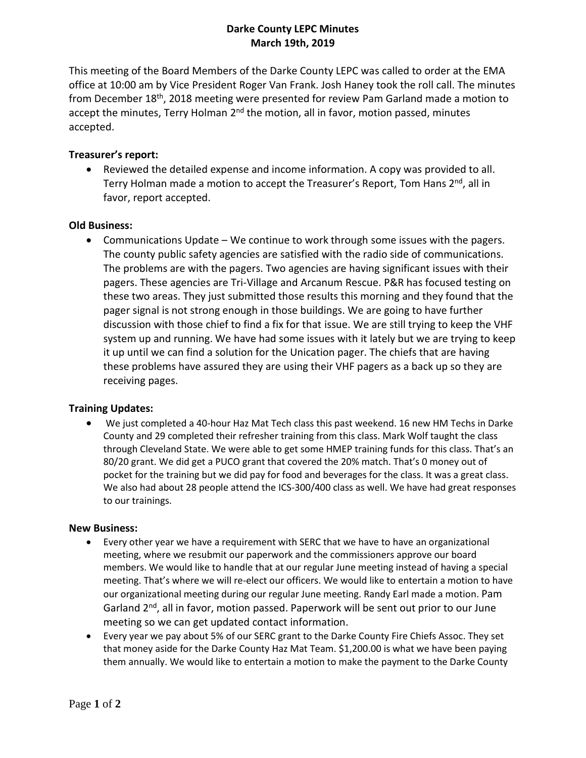# **Darke County LEPC Minutes March 19th, 2019**

This meeting of the Board Members of the Darke County LEPC was called to order at the EMA office at 10:00 am by Vice President Roger Van Frank. Josh Haney took the roll call. The minutes from December 18<sup>th</sup>, 2018 meeting were presented for review Pam Garland made a motion to accept the minutes, Terry Holman 2<sup>nd</sup> the motion, all in favor, motion passed, minutes accepted.

## **Treasurer's report:**

 Reviewed the detailed expense and income information. A copy was provided to all. Terry Holman made a motion to accept the Treasurer's Report, Tom Hans 2<sup>nd</sup>, all in favor, report accepted.

### **Old Business:**

 Communications Update – We continue to work through some issues with the pagers. The county public safety agencies are satisfied with the radio side of communications. The problems are with the pagers. Two agencies are having significant issues with their pagers. These agencies are Tri-Village and Arcanum Rescue. P&R has focused testing on these two areas. They just submitted those results this morning and they found that the pager signal is not strong enough in those buildings. We are going to have further discussion with those chief to find a fix for that issue. We are still trying to keep the VHF system up and running. We have had some issues with it lately but we are trying to keep it up until we can find a solution for the Unication pager. The chiefs that are having these problems have assured they are using their VHF pagers as a back up so they are receiving pages.

### **Training Updates:**

 We just completed a 40-hour Haz Mat Tech class this past weekend. 16 new HM Techs in Darke County and 29 completed their refresher training from this class. Mark Wolf taught the class through Cleveland State. We were able to get some HMEP training funds for this class. That's an 80/20 grant. We did get a PUCO grant that covered the 20% match. That's 0 money out of pocket for the training but we did pay for food and beverages for the class. It was a great class. We also had about 28 people attend the ICS-300/400 class as well. We have had great responses to our trainings.

#### **New Business:**

- Every other year we have a requirement with SERC that we have to have an organizational meeting, where we resubmit our paperwork and the commissioners approve our board members. We would like to handle that at our regular June meeting instead of having a special meeting. That's where we will re-elect our officers. We would like to entertain a motion to have our organizational meeting during our regular June meeting. Randy Earl made a motion. Pam Garland 2<sup>nd</sup>, all in favor, motion passed. Paperwork will be sent out prior to our June meeting so we can get updated contact information.
- Every year we pay about 5% of our SERC grant to the Darke County Fire Chiefs Assoc. They set that money aside for the Darke County Haz Mat Team. \$1,200.00 is what we have been paying them annually. We would like to entertain a motion to make the payment to the Darke County